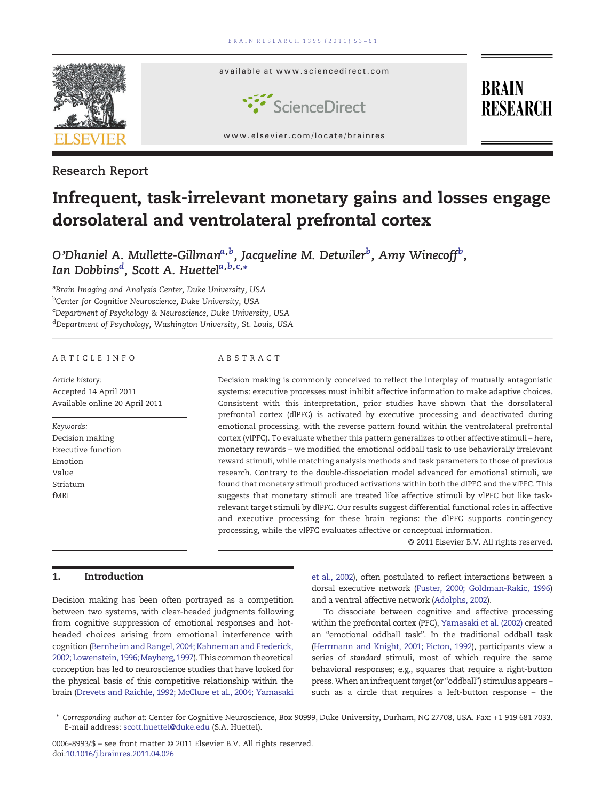

Research Report

# Infrequent, task-irrelevant monetary gains and losses engage dorsolateral and ventrolateral prefrontal cortex

O'Dhaniel A. Mullette-Gillman<sup>a,b</sup>, Jacqueline M. Detwiler<sup>b</sup>, Amy Winecoff<sup>b</sup>, Ian Dobbins<sup>d</sup>, Scott A. Huettel<sup>a,b,c,</sup>\*

<sup>a</sup>Brain Imaging and Analysis Center, Duke University, USA <sup>b</sup>Center for Cognitive Neuroscience, Duke University, USA <sup>c</sup>Department of Psychology & Neuroscience, Duke University, USA d Department of Psychology, Washington University, St. Louis, USA

# ARTICLE INFO ABSTRACT

Article history: Accepted 14 April 2011 Available online 20 April 2011

Keywords: Decision making Executive function Emotion Value Striatum fMRI

Decision making is commonly conceived to reflect the interplay of mutually antagonistic systems: executive processes must inhibit affective information to make adaptive choices. Consistent with this interpretation, prior studies have shown that the dorsolateral prefrontal cortex (dlPFC) is activated by executive processing and deactivated during emotional processing, with the reverse pattern found within the ventrolateral prefrontal cortex (vlPFC). To evaluate whether this pattern generalizes to other affective stimuli – here, monetary rewards – we modified the emotional oddball task to use behaviorally irrelevant reward stimuli, while matching analysis methods and task parameters to those of previous research. Contrary to the double-dissociation model advanced for emotional stimuli, we found that monetary stimuli produced activations within both the dlPFC and the vlPFC. This suggests that monetary stimuli are treated like affective stimuli by vlPFC but like taskrelevant target stimuli by dlPFC. Our results suggest differential functional roles in affective and executive processing for these brain regions: the dlPFC supports contingency processing, while the vlPFC evaluates affective or conceptual information.

© 2011 Elsevier B.V. All rights reserved.

# 1. Introduction

Decision making has been often portrayed as a competition between two systems, with clear-headed judgments following from cognitive suppression of emotional responses and hotheaded choices arising from emotional interference with cognition [\(Bernheim and Rangel, 2004; Kahneman and Frederick,](#page-6-0) [2002; Lowenstein, 1996; Mayberg, 1997\)](#page-6-0). This common theoretical conception has led to neuroscience studies that have looked for the physical basis of this competitive relationship within the brain [\(Drevets and Raichle, 1992; McClure et al., 2004; Yamasaki](#page-7-0) [et al., 2002\)](#page-7-0), often postulated to reflect interactions between a dorsal executive network [\(Fuster, 2000; Goldman-Rakic, 1996](#page-7-0)) and a ventral affective network ([Adolphs, 2002\)](#page-6-0).

To dissociate between cognitive and affective processing within the prefrontal cortex (PFC), [Yamasaki et al. \(2002\)](#page-8-0) created an "emotional oddball task". In the traditional oddball task [\(Herrmann and Knight, 2001; Picton, 1992\)](#page-7-0), participants view a series of standard stimuli, most of which require the same behavioral responses; e.g., squares that require a right-button press. When an infrequent target (or "oddball") stimulus appears such as a circle that requires a left-button response – the

<sup>⁎</sup> Corresponding author at: Center for Cognitive Neuroscience, Box 90999, Duke University, Durham, NC 27708, USA. Fax: +1 919 681 7033. E-mail address: [scott.huettel@duke.edu](mailto:scott.huettel@duke.edu) (S.A. Huettel).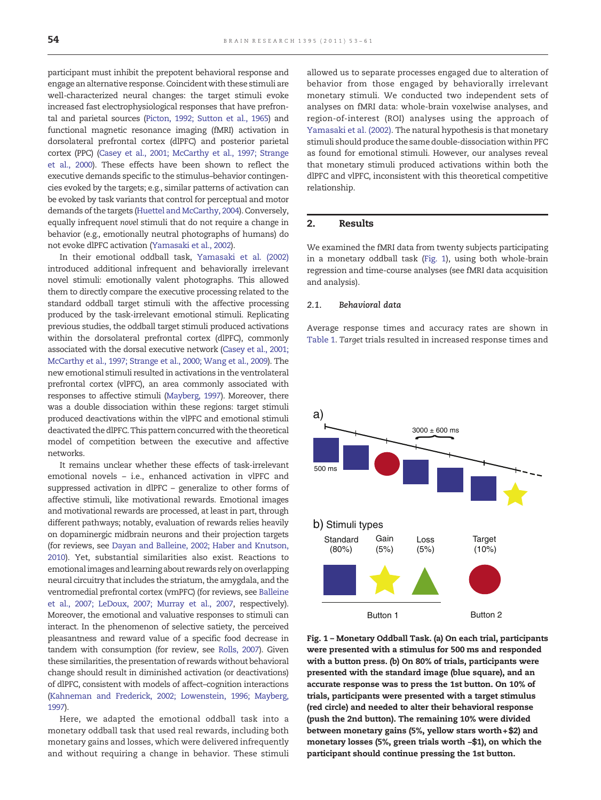<span id="page-1-0"></span>participant must inhibit the prepotent behavioral response and engage an alternative response. Coincident with these stimuli are well-characterized neural changes: the target stimuli evoke increased fast electrophysiological responses that have prefrontal and parietal sources ([Picton, 1992; Sutton et al., 1965](#page-7-0)) and functional magnetic resonance imaging (fMRI) activation in dorsolateral prefrontal cortex (dlPFC) and posterior parietal cortex (PPC) [\(Casey et al., 2001; McCarthy et al., 1997; Strange](#page-6-0) [et al., 2000\)](#page-6-0). These effects have been shown to reflect the executive demands specific to the stimulus–behavior contingencies evoked by the targets; e.g., similar patterns of activation can be evoked by task variants that control for perceptual and motor demands of the targets ([Huettel and McCarthy, 2004](#page-7-0)). Conversely, equally infrequent novel stimuli that do not require a change in behavior (e.g., emotionally neutral photographs of humans) do not evoke dlPFC activation ([Yamasaki et al., 2002\)](#page-8-0).

In their emotional oddball task, [Yamasaki et al. \(2002\)](#page-8-0) introduced additional infrequent and behaviorally irrelevant novel stimuli: emotionally valent photographs. This allowed them to directly compare the executive processing related to the standard oddball target stimuli with the affective processing produced by the task-irrelevant emotional stimuli. Replicating previous studies, the oddball target stimuli produced activations within the dorsolateral prefrontal cortex (dlPFC), commonly associated with the dorsal executive network [\(Casey et al., 2001;](#page-6-0) [McCarthy et al., 1997; Strange et al., 2000; Wang et al., 2009](#page-6-0)). The new emotional stimuli resulted in activations in the ventrolateral prefrontal cortex (vlPFC), an area commonly associated with responses to affective stimuli [\(Mayberg, 1997\)](#page-7-0). Moreover, there was a double dissociation within these regions: target stimuli produced deactivations within the vlPFC and emotional stimuli deactivated the dlPFC. This pattern concurred with the theoretical model of competition between the executive and affective networks.

It remains unclear whether these effects of task-irrelevant emotional novels – i.e., enhanced activation in vlPFC and suppressed activation in dlPFC – generalize to other forms of affective stimuli, like motivational rewards. Emotional images and motivational rewards are processed, at least in part, through different pathways; notably, evaluation of rewards relies heavily on dopaminergic midbrain neurons and their projection targets (for reviews, see [Dayan and Balleine, 2002; Haber and Knutson,](#page-6-0) [2010\)](#page-6-0). Yet, substantial similarities also exist. Reactions to emotional images and learning about rewards rely on overlapping neural circuitry that includes the striatum, the amygdala, and the ventromedial prefrontal cortex (vmPFC) (for reviews, see [Balleine](#page-6-0) [et al., 2007; LeDoux, 2007; Murray et al., 2007](#page-6-0), respectively). Moreover, the emotional and valuative responses to stimuli can interact. In the phenomenon of selective satiety, the perceived pleasantness and reward value of a specific food decrease in tandem with consumption (for review, see [Rolls, 2007\)](#page-7-0). Given these similarities, the presentation of rewards without behavioral change should result in diminished activation (or deactivations) of dlPFC, consistent with models of affect–cognition interactions ([Kahneman and Frederick, 2002; Lowenstein, 1996; Mayberg,](#page-7-0) [1997](#page-7-0)).

Here, we adapted the emotional oddball task into a monetary oddball task that used real rewards, including both monetary gains and losses, which were delivered infrequently and without requiring a change in behavior. These stimuli allowed us to separate processes engaged due to alteration of behavior from those engaged by behaviorally irrelevant monetary stimuli. We conducted two independent sets of analyses on fMRI data: whole-brain voxelwise analyses, and region-of-interest (ROI) analyses using the approach of [Yamasaki et al. \(2002\).](#page-8-0) The natural hypothesis is that monetary stimuli should produce the same double-dissociation within PFC as found for emotional stimuli. However, our analyses reveal that monetary stimuli produced activations within both the dlPFC and vlPFC, inconsistent with this theoretical competitive relationship.

# 2. Results

We examined the fMRI data from twenty subjects participating in a monetary oddball task (Fig. 1), using both whole-brain regression and time-course analyses (see fMRI data acquisition and analysis).

#### 2.1. Behavioral data

Average response times and accuracy rates are shown in [Table 1](#page-2-0). Target trials resulted in increased response times and



Fig. 1 – Monetary Oddball Task. (a) On each trial, participants were presented with a stimulus for 500 ms and responded with a button press. (b) On 80% of trials, participants were presented with the standard image (blue square), and an accurate response was to press the 1st button. On 10% of trials, participants were presented with a target stimulus (red circle) and needed to alter their behavioral response (push the 2nd button). The remaining 10% were divided between monetary gains (5%, yellow stars worth  $+ $2$ ) and monetary losses (5%, green trials worth −\$1), on which the participant should continue pressing the 1st button.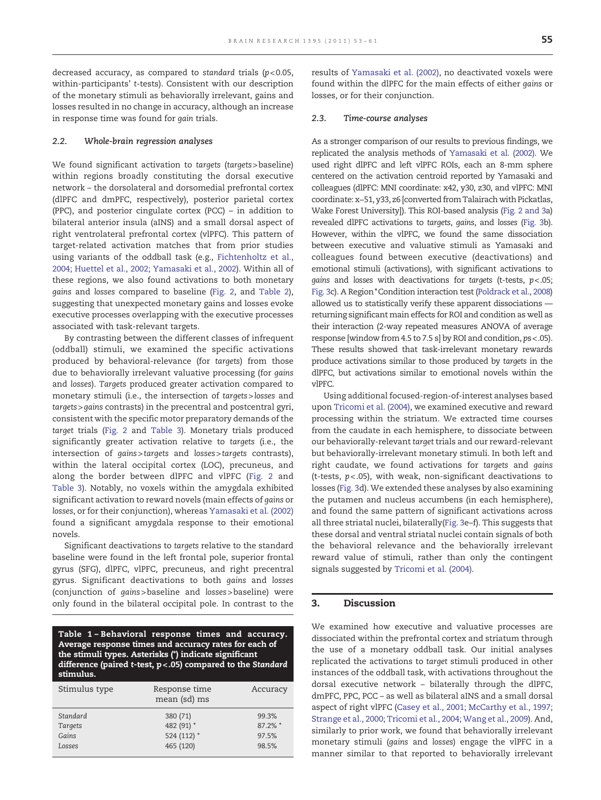<span id="page-2-0"></span>decreased accuracy, as compared to standard trials  $(p<0.05,$ within-participants' t-tests). Consistent with our description of the monetary stimuli as behaviorally irrelevant, gains and losses resulted in no change in accuracy, although an increase in response time was found for gain trials.

#### 2.2. Whole-brain regression analyses

We found significant activation to targets (targets> baseline) within regions broadly constituting the dorsal executive network – the dorsolateral and dorsomedial prefrontal cortex (dlPFC and dmPFC, respectively), posterior parietal cortex (PPC), and posterior cingulate cortex (PCC) – in addition to bilateral anterior insula (aINS) and a small dorsal aspect of right ventrolateral prefrontal cortex (vlPFC). This pattern of target-related activation matches that from prior studies using variants of the oddball task (e.g., [Fichtenholtz et al.,](#page-7-0) [2004; Huettel et al., 2002; Yamasaki et al., 2002](#page-7-0)). Within all of these regions, we also found activations to both monetary gains and losses compared to baseline ([Fig. 2](#page-3-0), and [Table 2](#page-3-0)), suggesting that unexpected monetary gains and losses evoke executive processes overlapping with the executive processes associated with task-relevant targets.

By contrasting between the different classes of infrequent (oddball) stimuli, we examined the specific activations produced by behavioral-relevance (for targets) from those due to behaviorally irrelevant valuative processing (for gains and losses). Targets produced greater activation compared to monetary stimuli (i.e., the intersection of targets>losses and targets>gains contrasts) in the precentral and postcentral gyri, consistent with the specific motor preparatory demands of the target trials ([Fig. 2](#page-3-0) and [Table 3\)](#page-3-0). Monetary trials produced significantly greater activation relative to targets (i.e., the intersection of gains>targets and losses>targets contrasts), within the lateral occipital cortex (LOC), precuneus, and along the border between dlPFC and vlPFC ([Fig. 2](#page-3-0) and [Table 3](#page-3-0)). Notably, no voxels within the amygdala exhibited significant activation to reward novels (main effects of gains or losses, or for their conjunction), whereas [Yamasaki et al. \(2002\)](#page-8-0) found a significant amygdala response to their emotional novels.

Significant deactivations to targets relative to the standard baseline were found in the left frontal pole, superior frontal gyrus (SFG), dlPFC, vlPFC, precuneus, and right precentral gyrus. Significant deactivations to both gains and losses (conjunction of gains >baseline and losses >baseline) were only found in the bilateral occipital pole. In contrast to the

Table 1 – Behavioral response times and accuracy. Average response times and accuracy rates for each of the stimuli types. Asterisks (\*) indicate significant difference (paired t-test, p<.05) compared to the Standard stimulus.

| Stimulus type | Response time<br>mean (sd) ms | Accuracy |
|---------------|-------------------------------|----------|
| Standard      | 380 (71)                      | 99.3%    |
| Targets       | 482 (91) *                    | 87.2% *  |
| Gains         | 524 (112) *                   | 97.5%    |
| Losses        | 465 (120)                     | 98.5%    |

results of [Yamasaki et al. \(2002\)](#page-8-0), no deactivated voxels were found within the dlPFC for the main effects of either gains or losses, or for their conjunction.

#### 2.3. Time-course analyses

As a stronger comparison of our results to previous findings, we replicated the analysis methods of [Yamasaki et al. \(2002\).](#page-8-0) We used right dlPFC and left vlPFC ROIs, each an 8-mm sphere centered on the activation centroid reported by Yamasaki and colleagues (dlPFC: MNI coordinate: x42, y30, z30, and vlPFC: MNI coordinate: x−51, y33, z6 [converted from Talairach with Pickatlas, Wake Forest University]). This ROI-based analysis ([Fig. 2 and 3](#page-3-0)a) revealed dlPFC activations to targets, gains, and losses ([Fig. 3](#page-4-0)b). However, within the vlPFC, we found the same dissociation between executive and valuative stimuli as Yamasaki and colleagues found between executive (deactivations) and emotional stimuli (activations), with significant activations to gains and losses with deactivations for targets (t-tests,  $p < .05$ ; [Fig. 3c](#page-4-0)). A Region \*Condition interaction test ([Poldrack et al., 2008](#page-7-0)) allowed us to statistically verify these apparent dissociations returning significant main effects for ROI and condition as well as their interaction (2-way repeated measures ANOVA of average response [window from 4.5 to 7.5 s] by ROI and condition, ps<.05). These results showed that task-irrelevant monetary rewards produce activations similar to those produced by targets in the dlPFC, but activations similar to emotional novels within the vlPFC.

Using additional focused-region-of-interest analyses based upon [Tricomi et al. \(2004\),](#page-7-0) we examined executive and reward processing within the striatum. We extracted time courses from the caudate in each hemisphere, to dissociate between our behaviorally-relevant target trials and our reward-relevant but behaviorally-irrelevant monetary stimuli. In both left and right caudate, we found activations for targets and gains (t-tests,  $p < .05$ ), with weak, non-significant deactivations to losses ([Fig. 3](#page-4-0)d). We extended these analyses by also examining the putamen and nucleus accumbens (in each hemisphere), and found the same pattern of significant activations across all three striatal nuclei, bilaterally([Fig. 3](#page-4-0)e–f). This suggests that these dorsal and ventral striatal nuclei contain signals of both the behavioral relevance and the behaviorally irrelevant reward value of stimuli, rather than only the contingent signals suggested by [Tricomi et al. \(2004\).](#page-7-0)

#### 3. Discussion

We examined how executive and valuative processes are dissociated within the prefrontal cortex and striatum through the use of a monetary oddball task. Our initial analyses replicated the activations to target stimuli produced in other instances of the oddball task, with activations throughout the dorsal executive network – bilaterally through the dlPFC, dmPFC, PPC, PCC – as well as bilateral aINS and a small dorsal aspect of right vlPFC ([Casey et al., 2001; McCarthy et al., 1997;](#page-6-0) [Strange et al., 2000; Tricomi et al., 2004; Wang et al., 2009](#page-6-0)). And, similarly to prior work, we found that behaviorally irrelevant monetary stimuli (gains and losses) engage the vlPFC in a manner similar to that reported to behaviorally irrelevant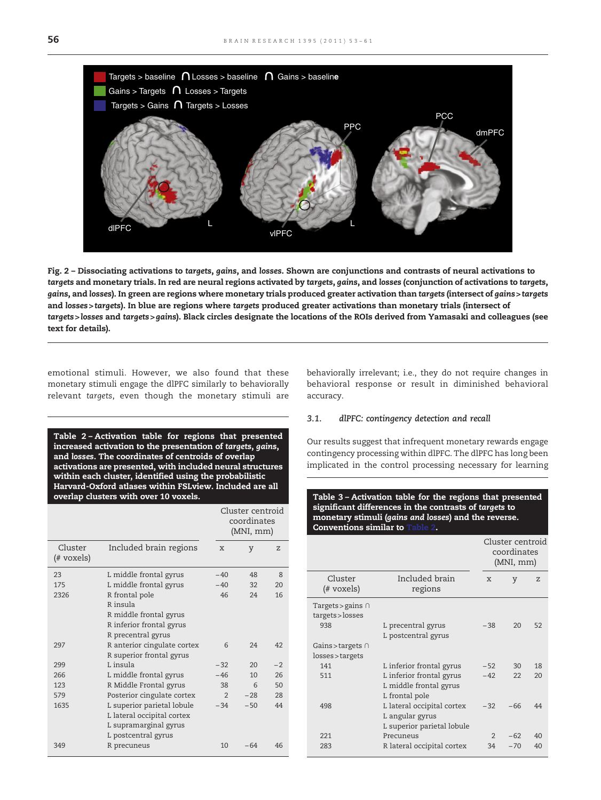<span id="page-3-0"></span>

Fig. 2 – Dissociating activations to targets, gains, and losses. Shown are conjunctions and contrasts of neural activations to targets and monetary trials. In red are neural regions activated by targets, gains, and losses (conjunction of activations to targets, gains, and losses). In green are regions where monetary trials produced greater activation than targets (intersect of gains>targets and losses > targets). In blue are regions where targets produced greater activations than monetary trials (intersect of targets>losses and targets>gains). Black circles designate the locations of the ROIs derived from Yamasaki and colleagues (see text for details).

emotional stimuli. However, we also found that these monetary stimuli engage the dlPFC similarly to behaviorally relevant targets, even though the monetary stimuli are

Table 2 – Activation table for regions that presented increased activation to the presentation of targets, gains, and losses. The coordinates of centroids of overlap activations are presented, with included neural structures within each cluster, identified using the probabilistic Harvard-Oxford atlases within FSLview. Included are all overlap clusters with over 10 voxels.

|                       |                             | Cluster centroid<br>coordinates<br>(MNI, mm) |       |      |
|-----------------------|-----------------------------|----------------------------------------------|-------|------|
| Cluster<br>(# voxels) | Included brain regions      | X                                            | y     | Z    |
| 23                    | L middle frontal gyrus      | $-40$                                        | 48    | 8    |
| 175                   | L middle frontal gyrus      | $-40$                                        | 32    | 20   |
| 2326                  | R frontal pole              | 46                                           | 24    | 16   |
|                       | R insula                    |                                              |       |      |
|                       | R middle frontal gyrus      |                                              |       |      |
|                       | R inferior frontal gyrus    |                                              |       |      |
|                       | R precentral gyrus          |                                              |       |      |
| 297                   | R anterior cingulate cortex | 6                                            | 24    | 42   |
|                       | R superior frontal gyrus    |                                              |       |      |
| 299                   | Linsula                     | $-32$                                        | 20    | $-2$ |
| 266                   | L middle frontal gyrus      | $-46$                                        | 10    | 26   |
| 123                   | R Middle Frontal gyrus      | 38                                           | 6     | 50   |
| 579                   | Posterior cingulate cortex  | $\overline{2}$                               | $-28$ | 28   |
| 1635                  | L superior parietal lobule  | $-34$                                        | $-50$ | 44   |
|                       | L lateral occipital cortex  |                                              |       |      |
|                       | L supramarginal gyrus       |                                              |       |      |
|                       | L postcentral gyrus         |                                              |       |      |
| 349                   | R precuneus                 | 10                                           | $-64$ | 46   |

behaviorally irrelevant; i.e., they do not require changes in behavioral response or result in diminished behavioral accuracy.

# 3.1. dlPFC: contingency detection and recall

Our results suggest that infrequent monetary rewards engage contingency processing within dlPFC. The dlPFC has long been implicated in the control processing necessary for learning

Table 3 – Activation table for the regions that presented significant differences in the contrasts of targets to monetary stimuli (gains and losses) and the reverse. Conventions similar to 1

|                                            |                                                                             | Cluster centroid<br>coordinates<br>(MNI, mm) |       |    |
|--------------------------------------------|-----------------------------------------------------------------------------|----------------------------------------------|-------|----|
| Cluster<br>(# voxels)                      | Included brain<br>regions                                                   | X                                            | y     | Z  |
| Targets > gains $\cap$<br>targets > losses |                                                                             |                                              |       |    |
| 938                                        | L precentral gyrus<br>L postcentral gyrus                                   | $-38$                                        | 20    | 52 |
| Gains > targets $\cap$                     |                                                                             |                                              |       |    |
| losses > targets                           |                                                                             |                                              |       |    |
| 141                                        | L inferior frontal gyrus                                                    | $-52$                                        | 30    | 18 |
| 511                                        | L inferior frontal gyrus<br>L middle frontal gyrus<br>L frontal pole        | $-42$                                        | 22    | 20 |
| 498                                        | L lateral occipital cortex<br>L angular gyrus<br>L superior parietal lobule | $-32$                                        | $-66$ | 44 |
| 221                                        | Precuneus                                                                   | $\mathfrak{D}$                               | $-62$ | 40 |
| 283                                        | R lateral occipital cortex                                                  | 34                                           | $-70$ | 40 |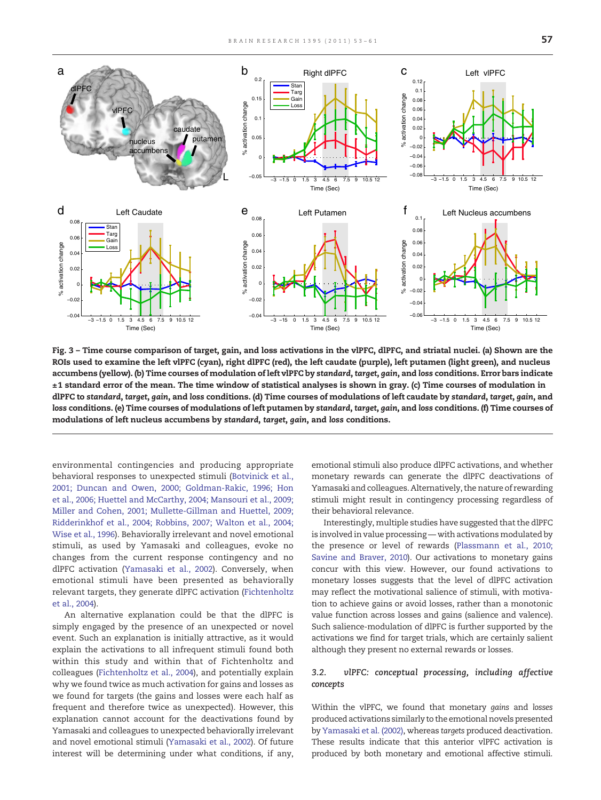<span id="page-4-0"></span>

Fig. 3 – Time course comparison of target, gain, and loss activations in the vlPFC, dlPFC, and striatal nuclei. (a) Shown are the ROIs used to examine the left vlPFC (cyan), right dlPFC (red), the left caudate (purple), left putamen (light green), and nucleus accumbens (yellow). (b) Time courses of modulation of left vlPFC by standard, target, gain, and loss conditions. Error bars indicate ±1 standard error of the mean. The time window of statistical analyses is shown in gray. (c) Time courses of modulation in dlPFC to standard, target, gain, and loss conditions. (d) Time courses of modulations of left caudate by standard, target, gain, and loss conditions. (e) Time courses of modulations of left putamen by standard, target, gain, and loss conditions. (f) Time courses of modulations of left nucleus accumbens by standard, target, gain, and loss conditions.

environmental contingencies and producing appropriate behavioral responses to unexpected stimuli ([Botvinick et al.,](#page-6-0) [2001; Duncan and Owen, 2000; Goldman-Rakic, 1996; Hon](#page-6-0) [et al., 2006; Huettel and McCarthy, 2004; Mansouri et al., 2009;](#page-6-0) [Miller and Cohen, 2001; Mullette-Gillman and Huettel, 2009;](#page-6-0) [Ridderinkhof et al., 2004; Robbins, 2007; Walton et al., 2004;](#page-6-0) [Wise et al., 1996\)](#page-6-0). Behaviorally irrelevant and novel emotional stimuli, as used by Yamasaki and colleagues, evoke no changes from the current response contingency and no dlPFC activation [\(Yamasaki et al., 2002\)](#page-8-0). Conversely, when emotional stimuli have been presented as behaviorally relevant targets, they generate dlPFC activation [\(Fichtenholtz](#page-7-0) [et al., 2004\)](#page-7-0).

An alternative explanation could be that the dlPFC is simply engaged by the presence of an unexpected or novel event. Such an explanation is initially attractive, as it would explain the activations to all infrequent stimuli found both within this study and within that of Fichtenholtz and colleagues ([Fichtenholtz et al., 2004\)](#page-7-0), and potentially explain why we found twice as much activation for gains and losses as we found for targets (the gains and losses were each half as frequent and therefore twice as unexpected). However, this explanation cannot account for the deactivations found by Yamasaki and colleagues to unexpected behaviorally irrelevant and novel emotional stimuli [\(Yamasaki et al., 2002\)](#page-8-0). Of future interest will be determining under what conditions, if any,

emotional stimuli also produce dlPFC activations, and whether monetary rewards can generate the dlPFC deactivations of Yamasaki and colleagues. Alternatively, the nature of rewarding stimuli might result in contingency processing regardless of their behavioral relevance.

Interestingly, multiple studies have suggested that the dlPFC is involved in value processing - with activations modulated by the presence or level of rewards ([Plassmann et al., 2010;](#page-7-0) [Savine and Braver, 2010\)](#page-7-0). Our activations to monetary gains concur with this view. However, our found activations to monetary losses suggests that the level of dlPFC activation may reflect the motivational salience of stimuli, with motivation to achieve gains or avoid losses, rather than a monotonic value function across losses and gains (salience and valence). Such salience-modulation of dlPFC is further supported by the activations we find for target trials, which are certainly salient although they present no external rewards or losses.

# 3.2. vlPFC: conceptual processing, including affective concepts

Within the vlPFC, we found that monetary gains and losses produced activations similarly to the emotional novels presented by [Yamasaki et al. \(2002\),](#page-8-0) whereas targets produced deactivation. These results indicate that this anterior vlPFC activation is produced by both monetary and emotional affective stimuli.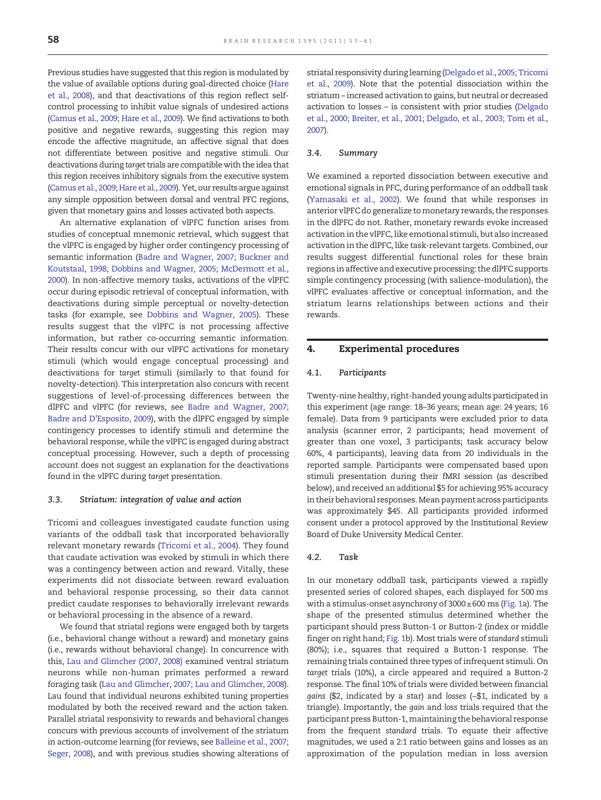Previous studies have suggested that this region is modulated by the value of available options during goal-directed choice [\(Hare](#page-7-0) [et al., 2008](#page-7-0)), and that deactivations of this region reflect selfcontrol processing to inhibit value signals of undesired actions ([Camus et al., 2009; Hare et al., 2009\)](#page-6-0). We find activations to both positive and negative rewards, suggesting this region may encode the affective magnitude, an affective signal that does not differentiate between positive and negative stimuli. Our deactivations during target trials are compatible with the idea that this region receives inhibitory signals from the executive system ([Camus et al., 2009; Hare et al., 2009\)](#page-6-0). Yet, our results argue against any simple opposition between dorsal and ventral PFC regions, given that monetary gains and losses activated both aspects.

An alternative explanation of vlPFC function arises from studies of conceptual mnemonic retrieval, which suggest that the vlPFC is engaged by higher order contingency processing of semantic information [\(Badre and Wagner, 2007; Buckner and](#page-6-0) [Koutstaal, 1998; Dobbins and Wagner, 2005; McDermott et al.,](#page-6-0) [2000](#page-6-0)). In non-affective memory tasks, activations of the vlPFC occur during episodic retrieval of conceptual information, with deactivations during simple perceptual or novelty-detection tasks (for example, see [Dobbins and Wagner, 2005](#page-7-0)). These results suggest that the vlPFC is not processing affective information, but rather co-occurring semantic information. Their results concur with our vlPFC activations for monetary stimuli (which would engage conceptual processing) and deactivations for target stimuli (similarly to that found for novelty-detection). This interpretation also concurs with recent suggestions of level-of-processing differences between the dlPFC and vlPFC (for reviews, see [Badre and Wagner, 2007;](#page-6-0) [Badre and D'Esposito, 2009\)](#page-6-0), with the dlPFC engaged by simple contingency processes to identify stimuli and determine the behavioral response, while the vlPFC is engaged during abstract conceptual processing. However, such a depth of processing account does not suggest an explanation for the deactivations found in the vlPFC during target presentation.

# 3.3. Striatum: integration of value and action

Tricomi and colleagues investigated caudate function using variants of the oddball task that incorporated behaviorally relevant monetary rewards [\(Tricomi et al., 2004\)](#page-7-0). They found that caudate activation was evoked by stimuli in which there was a contingency between action and reward. Vitally, these experiments did not dissociate between reward evaluation and behavioral response processing, so their data cannot predict caudate responses to behaviorally irrelevant rewards or behavioral processing in the absence of a reward.

We found that striatal regions were engaged both by targets (i.e., behavioral change without a reward) and monetary gains (i.e., rewards without behavioral change). In concurrence with this, [Lau and Glimcher \(2007, 2008\)](#page-7-0) examined ventral striatum neurons while non-human primates performed a reward foraging task ([Lau and Glimcher, 2007; Lau and Glimcher, 2008\)](#page-7-0). Lau found that individual neurons exhibited tuning properties modulated by both the received reward and the action taken. Parallel striatal responsivity to rewards and behavioral changes concurs with previous accounts of involvement of the striatum in action-outcome learning (for reviews, see [Balleine et al., 2007;](#page-6-0) [Seger, 2008\)](#page-6-0), and with previous studies showing alterations of

striatal responsivity during learning ([Delgado et al., 2005; Tricomi](#page-7-0) [et al., 2009\)](#page-7-0). Note that the potential dissociation within the striatum – increased activation to gains, but neutral or decreased activation to losses – is consistent with prior studies ([Delgado](#page-6-0) [et al., 2000; Breiter, et al., 2001; Delgado, et al., 2003; Tom et al.,](#page-6-0) [2007](#page-6-0)).

#### 3.4. Summary

We examined a reported dissociation between executive and emotional signals in PFC, during performance of an oddball task ([Yamasaki et al., 2002\)](#page-8-0). We found that while responses in anterior vlPFC do generalize to monetary rewards, the responses in the dlPFC do not. Rather, monetary rewards evoke increased activation in the vlPFC, like emotional stimuli, but also increased activation in the dlPFC, like task-relevant targets. Combined, our results suggest differential functional roles for these brain regions in affective and executive processing: the dlPFC supports simple contingency processing (with salience-modulation), the vlPFC evaluates affective or conceptual information, and the striatum learns relationships between actions and their rewards.

#### 4. Experimental procedures

#### 4.1. Participants

Twenty-nine healthy, right-handed young adults participated in this experiment (age range: 18–36 years; mean age: 24 years; 16 female). Data from 9 participants were excluded prior to data analysis (scanner error, 2 participants; head movement of greater than one voxel, 3 participants; task accuracy below 60%, 4 participants), leaving data from 20 individuals in the reported sample. Participants were compensated based upon stimuli presentation during their fMRI session (as described below), and received an additional \$5 for achieving 95% accuracy in their behavioral responses. Mean payment across participants was approximately \$45. All participants provided informed consent under a protocol approved by the Institutional Review Board of Duke University Medical Center.

#### 4.2. Task

In our monetary oddball task, participants viewed a rapidly presented series of colored shapes, each displayed for 500 ms with a stimulus-onset asynchrony of 3000±600 ms [\(Fig. 1a](#page-1-0)). The shape of the presented stimulus determined whether the participant should press Button-1 or Button-2 (index or middle finger on right hand; [Fig. 1](#page-1-0)b). Most trials were of standard stimuli (80%); i.e., squares that required a Button-1 response. The remaining trials contained three types of infrequent stimuli. On target trials (10%), a circle appeared and required a Button-2 response. The final 10% of trials were divided between financial gains (\$2, indicated by a star) and losses (−\$1, indicated by a triangle). Importantly, the gain and loss trials required that the participant press Button-1,maintaining the behavioral response from the frequent standard trials. To equate their affective magnitudes, we used a 2:1 ratio between gains and losses as an approximation of the population median in loss aversion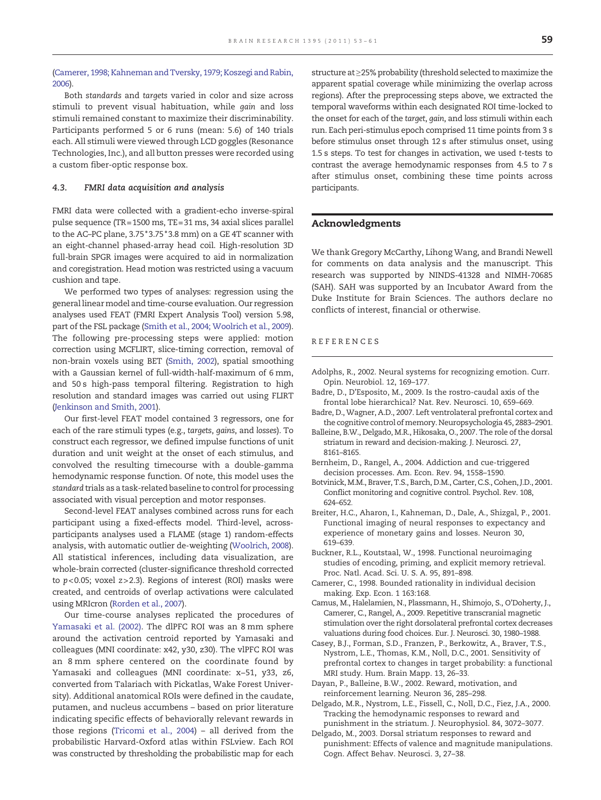# <span id="page-6-0"></span>(Camerer, 1998; Kahneman and Tversky, 1979; Koszegi and Rabin, 2006).

Both standards and targets varied in color and size across stimuli to prevent visual habituation, while gain and loss stimuli remained constant to maximize their discriminability. Participants performed 5 or 6 runs (mean: 5.6) of 140 trials each. All stimuli were viewed through LCD goggles (Resonance Technologies, Inc.), and all button presses were recorded using a custom fiber-optic response box.

# 4.3. FMRI data acquisition and analysis

FMRI data were collected with a gradient-echo inverse-spiral pulse sequence (TR=1500 ms, TE=31 ms, 34 axial slices parallel to the AC–PC plane, 3.75 \*3.75 \*3.8 mm) on a GE 4T scanner with an eight-channel phased-array head coil. High-resolution 3D full-brain SPGR images were acquired to aid in normalization and coregistration. Head motion was restricted using a vacuum cushion and tape.

We performed two types of analyses: regression using the general linearmodel and time-course evaluation. Our regression analyses used FEAT (FMRI Expert Analysis Tool) version 5.98, part of the FSL package [\(Smith et al., 2004; Woolrich et al., 2009](#page-7-0)). The following pre-processing steps were applied: motion correction using MCFLIRT, slice-timing correction, removal of non-brain voxels using BET ([Smith, 2002\)](#page-7-0), spatial smoothing with a Gaussian kernel of full-width-half-maximum of 6 mm, and 50 s high-pass temporal filtering. Registration to high resolution and standard images was carried out using FLIRT [\(Jenkinson and Smith, 2001\)](#page-7-0).

Our first-level FEAT model contained 3 regressors, one for each of the rare stimuli types (e.g., targets, gains, and losses). To construct each regressor, we defined impulse functions of unit duration and unit weight at the onset of each stimulus, and convolved the resulting timecourse with a double-gamma hemodynamic response function. Of note, this model uses the standard trials as a task-related baseline to control for processing associated with visual perception and motor responses.

Second-level FEAT analyses combined across runs for each participant using a fixed-effects model. Third-level, acrossparticipants analyses used a FLAME (stage 1) random-effects analysis, with automatic outlier de-weighting [\(Woolrich, 2008](#page-8-0)). All statistical inferences, including data visualization, are whole-brain corrected (cluster-significance threshold corrected to  $p < 0.05$ ; voxel  $z > 2.3$ ). Regions of interest (ROI) masks were created, and centroids of overlap activations were calculated using MRIcron [\(Rorden et al., 2007](#page-7-0)).

Our time-course analyses replicated the procedures of [Yamasaki et al. \(2002\).](#page-8-0) The dlPFC ROI was an 8 mm sphere around the activation centroid reported by Yamasaki and colleagues (MNI coordinate: x42, y30, z30). The vlPFC ROI was an 8 mm sphere centered on the coordinate found by Yamasaki and colleagues (MNI coordinate: x−51, y33, z6, converted from Talariach with Pickatlas, Wake Forest University). Additional anatomical ROIs were defined in the caudate, putamen, and nucleus accumbens – based on prior literature indicating specific effects of behaviorally relevant rewards in those regions [\(Tricomi et al., 2004\)](#page-7-0) – all derived from the probabilistic Harvard-Oxford atlas within FSLview. Each ROI was constructed by thresholding the probabilistic map for each

structure at ≥25% probability (threshold selected tomaximize the apparent spatial coverage while minimizing the overlap across regions). After the preprocessing steps above, we extracted the temporal waveforms within each designated ROI time-locked to the onset for each of the target, gain, and loss stimuli within each run. Each peri-stimulus epoch comprised 11 time points from 3 s before stimulus onset through 12 s after stimulus onset, using 1.5 s steps. To test for changes in activation, we used t-tests to contrast the average hemodynamic responses from 4.5 to 7 s after stimulus onset, combining these time points across participants.

# Acknowledgments

We thank Gregory McCarthy, Lihong Wang, and Brandi Newell for comments on data analysis and the manuscript. This research was supported by NINDS-41328 and NIMH-70685 (SAH). SAH was supported by an Incubator Award from the Duke Institute for Brain Sciences. The authors declare no conflicts of interest, financial or otherwise.

#### REFERENCES

- Adolphs, R., 2002. Neural systems for recognizing emotion. Curr. Opin. Neurobiol. 12, 169–177.
- Badre, D., D'Esposito, M., 2009. Is the rostro-caudal axis of the frontal lobe hierarchical? Nat. Rev. Neurosci. 10, 659–669.
- Badre, D., Wagner, A.D., 2007. Left ventrolateral prefrontal cortex and the cognitive control of memory. Neuropsychologia 45, 2883-2901.
- Balleine, B.W., Delgado, M.R., Hikosaka, O., 2007. The role of the dorsal striatum in reward and decision-making. J. Neurosci. 27, 8161–8165.
- Bernheim, D., Rangel, A., 2004. Addiction and cue-triggered decision processes. Am. Econ. Rev. 94, 1558–1590.
- Botvinick, M.M., Braver, T.S., Barch, D.M., Carter, C.S., Cohen, J.D., 2001. Conflict monitoring and cognitive control. Psychol. Rev. 108, 624–652.
- Breiter, H.C., Aharon, I., Kahneman, D., Dale, A., Shizgal, P., 2001. Functional imaging of neural responses to expectancy and experience of monetary gains and losses. Neuron 30, 619–639.
- Buckner, R.L., Koutstaal, W., 1998. Functional neuroimaging studies of encoding, priming, and explicit memory retrieval. Proc. Natl. Acad. Sci. U. S. A. 95, 891–898.
- Camerer, C., 1998. Bounded rationality in individual decision making. Exp. Econ. 1 163:168.
- Camus, M., Halelamien, N., Plassmann, H., Shimojo, S., O'Doherty, J., Camerer, C., Rangel, A., 2009. Repetitive transcranial magnetic stimulation over the right dorsolateral prefrontal cortex decreases valuations during food choices. Eur. J. Neurosci. 30, 1980–1988.
- Casey, B.J., Forman, S.D., Franzen, P., Berkowitz, A., Braver, T.S., Nystrom, L.E., Thomas, K.M., Noll, D.C., 2001. Sensitivity of prefrontal cortex to changes in target probability: a functional MRI study. Hum. Brain Mapp. 13, 26–33.
- Dayan, P., Balleine, B.W., 2002. Reward, motivation, and reinforcement learning. Neuron 36, 285–298.
- Delgado, M.R., Nystrom, L.E., Fissell, C., Noll, D.C., Fiez, J.A., 2000. Tracking the hemodynamic responses to reward and punishment in the striatum. J. Neurophysiol. 84, 3072–3077.
- Delgado, M., 2003. Dorsal striatum responses to reward and punishment: Effects of valence and magnitude manipulations. Cogn. Affect Behav. Neurosci. 3, 27–38.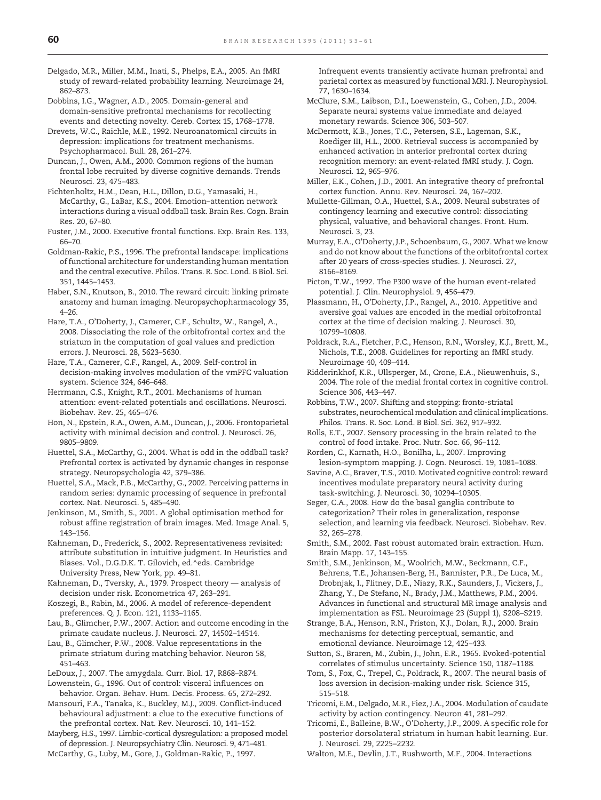- <span id="page-7-0"></span>Delgado, M.R., Miller, M.M., Inati, S., Phelps, E.A., 2005. An fMRI study of reward-related probability learning. Neuroimage 24, 862–873.
- Dobbins, I.G., Wagner, A.D., 2005. Domain-general and domain-sensitive prefrontal mechanisms for recollecting events and detecting novelty. Cereb. Cortex 15, 1768–1778.
- Drevets, W.C., Raichle, M.E., 1992. Neuroanatomical circuits in depression: implications for treatment mechanisms. Psychopharmacol. Bull. 28, 261–274.
- Duncan, J., Owen, A.M., 2000. Common regions of the human frontal lobe recruited by diverse cognitive demands. Trends Neurosci. 23, 475–483.
- Fichtenholtz, H.M., Dean, H.L., Dillon, D.G., Yamasaki, H., McCarthy, G., LaBar, K.S., 2004. Emotion–attention network interactions during a visual oddball task. Brain Res. Cogn. Brain Res. 20, 67–80.
- Fuster, J.M., 2000. Executive frontal functions. Exp. Brain Res. 133, 66–70.
- Goldman-Rakic, P.S., 1996. The prefrontal landscape: implications of functional architecture for understanding human mentation and the central executive. Philos. Trans. R. Soc. Lond. B Biol. Sci. 351, 1445–1453.
- Haber, S.N., Knutson, B., 2010. The reward circuit: linking primate anatomy and human imaging. Neuropsychopharmacology 35, 4–26.
- Hare, T.A., O'Doherty, J., Camerer, C.F., Schultz, W., Rangel, A., 2008. Dissociating the role of the orbitofrontal cortex and the striatum in the computation of goal values and prediction errors. J. Neurosci. 28, 5623–5630.
- Hare, T.A., Camerer, C.F., Rangel, A., 2009. Self-control in decision-making involves modulation of the vmPFC valuation system. Science 324, 646–648.
- Herrmann, C.S., Knight, R.T., 2001. Mechanisms of human attention: event-related potentials and oscillations. Neurosci. Biobehav. Rev. 25, 465–476.
- Hon, N., Epstein, R.A., Owen, A.M., Duncan, J., 2006. Frontoparietal activity with minimal decision and control. J. Neurosci. 26, 9805–9809.
- Huettel, S.A., McCarthy, G., 2004. What is odd in the oddball task? Prefrontal cortex is activated by dynamic changes in response strategy. Neuropsychologia 42, 379–386.
- Huettel, S.A., Mack, P.B., McCarthy, G., 2002. Perceiving patterns in random series: dynamic processing of sequence in prefrontal cortex. Nat. Neurosci. 5, 485–490.
- Jenkinson, M., Smith, S., 2001. A global optimisation method for robust affine registration of brain images. Med. Image Anal. 5, 143–156.
- Kahneman, D., Frederick, S., 2002. Representativeness revisited: attribute substitution in intuitive judgment. In Heuristics and Biases. Vol., D.G.D.K. T. Gilovich, ed.^eds. Cambridge University Press, New York, pp. 49–81.
- Kahneman, D., Tversky, A., 1979. Prospect theory analysis of decision under risk. Econometrica 47, 263–291.
- Koszegi, B., Rabin, M., 2006. A model of reference-dependent preferences. Q. J. Econ. 121, 1133–1165.
- Lau, B., Glimcher, P.W., 2007. Action and outcome encoding in the primate caudate nucleus. J. Neurosci. 27, 14502–14514.
- Lau, B., Glimcher, P.W., 2008. Value representations in the primate striatum during matching behavior. Neuron 58, 451–463.
- LeDoux, J., 2007. The amygdala. Curr. Biol. 17, R868–R874.
- Lowenstein, G., 1996. Out of control: visceral influences on behavior. Organ. Behav. Hum. Decis. Process. 65, 272–292.
- Mansouri, F.A., Tanaka, K., Buckley, M.J., 2009. Conflict-induced behavioural adjustment: a clue to the executive functions of the prefrontal cortex. Nat. Rev. Neurosci. 10, 141–152.
- Mayberg, H.S., 1997. Limbic-cortical dysregulation: a proposed model of depression. J. Neuropsychiatry Clin. Neurosci. 9, 471–481.
- McCarthy, G., Luby, M., Gore, J., Goldman-Rakic, P., 1997.

Infrequent events transiently activate human prefrontal and parietal cortex as measured by functional MRI. J. Neurophysiol. 77, 1630–1634.

- McClure, S.M., Laibson, D.I., Loewenstein, G., Cohen, J.D., 2004. Separate neural systems value immediate and delayed monetary rewards. Science 306, 503–507.
- McDermott, K.B., Jones, T.C., Petersen, S.E., Lageman, S.K., Roediger III, H.L., 2000. Retrieval success is accompanied by enhanced activation in anterior prefrontal cortex during recognition memory: an event-related fMRI study. J. Cogn. Neurosci. 12, 965–976.
- Miller, E.K., Cohen, J.D., 2001. An integrative theory of prefrontal cortex function. Annu. Rev. Neurosci. 24, 167–202.
- Mullette-Gillman, O.A., Huettel, S.A., 2009. Neural substrates of contingency learning and executive control: dissociating physical, valuative, and behavioral changes. Front. Hum. Neurosci. 3, 23.
- Murray, E.A., O'Doherty, J.P., Schoenbaum, G., 2007. What we know and do not know about the functions of the orbitofrontal cortex after 20 years of cross-species studies. J. Neurosci. 27, 8166–8169.
- Picton, T.W., 1992. The P300 wave of the human event-related potential. J. Clin. Neurophysiol. 9, 456–479.
- Plassmann, H., O'Doherty, J.P., Rangel, A., 2010. Appetitive and aversive goal values are encoded in the medial orbitofrontal cortex at the time of decision making. J. Neurosci. 30, 10799–10808.
- Poldrack, R.A., Fletcher, P.C., Henson, R.N., Worsley, K.J., Brett, M., Nichols, T.E., 2008. Guidelines for reporting an fMRI study. Neuroimage 40, 409–414.
- Ridderinkhof, K.R., Ullsperger, M., Crone, E.A., Nieuwenhuis, S., 2004. The role of the medial frontal cortex in cognitive control. Science 306, 443–447.
- Robbins, T.W., 2007. Shifting and stopping: fronto-striatal substrates, neurochemical modulation and clinical implications. Philos. Trans. R. Soc. Lond. B Biol. Sci. 362, 917–932.
- Rolls, E.T., 2007. Sensory processing in the brain related to the control of food intake. Proc. Nutr. Soc. 66, 96–112.
- Rorden, C., Karnath, H.O., Bonilha, L., 2007. Improving lesion-symptom mapping. J. Cogn. Neurosci. 19, 1081–1088.
- Savine, A.C., Braver, T.S., 2010. Motivated cognitive control: reward incentives modulate preparatory neural activity during task-switching. J. Neurosci. 30, 10294–10305.
- Seger, C.A., 2008. How do the basal ganglia contribute to categorization? Their roles in generalization, response selection, and learning via feedback. Neurosci. Biobehav. Rev. 32, 265–278.
- Smith, S.M., 2002. Fast robust automated brain extraction. Hum. Brain Mapp. 17, 143–155.
- Smith, S.M., Jenkinson, M., Woolrich, M.W., Beckmann, C.F., Behrens, T.E., Johansen-Berg, H., Bannister, P.R., De Luca, M., Drobnjak, I., Flitney, D.E., Niazy, R.K., Saunders, J., Vickers, J., Zhang, Y., De Stefano, N., Brady, J.M., Matthews, P.M., 2004. Advances in functional and structural MR image analysis and implementation as FSL. Neuroimage 23 (Suppl 1), S208–S219.
- Strange, B.A., Henson, R.N., Friston, K.J., Dolan, R.J., 2000. Brain mechanisms for detecting perceptual, semantic, and emotional deviance. Neuroimage 12, 425–433.
- Sutton, S., Braren, M., Zubin, J., John, E.R., 1965. Evoked-potential correlates of stimulus uncertainty. Science 150, 1187–1188.
- Tom, S., Fox, C., Trepel, C., Poldrack, R., 2007. The neural basis of loss aversion in decision-making under risk. Science 315, 515–518.
- Tricomi, E.M., Delgado, M.R., Fiez, J.A., 2004. Modulation of caudate activity by action contingency. Neuron 41, 281–292.
- Tricomi, E., Balleine, B.W., O'Doherty, J.P., 2009. A specific role for posterior dorsolateral striatum in human habit learning. Eur. J. Neurosci. 29, 2225–2232.
- Walton, M.E., Devlin, J.T., Rushworth, M.F., 2004. Interactions